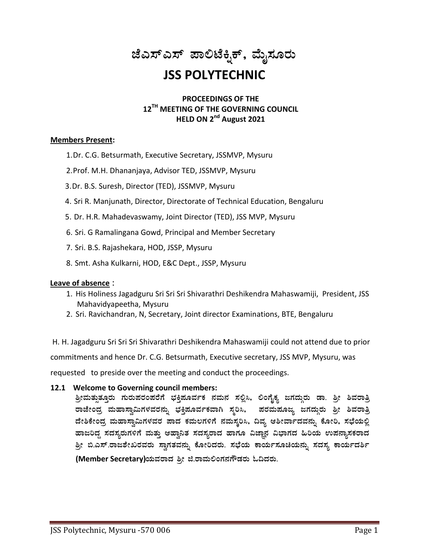# ಜೆಎಸ್ಎಸ್ ಪಾಲಿಟೆಕ್<del>ಕಿ</del>ಕ್, ಮೈಸೂರು **JSS POLYTECHNIC**

## **PROCEEDINGS OF THE 12 TH MEETING OF THE GOVERNING COUNCIL HELD ON 2 nd August 2021**

## **Members Present:**

- 1.Dr. C.G. Betsurmath, Executive Secretary, JSSMVP, Mysuru
- 2.Prof. M.H. Dhananjaya, Advisor TED, JSSMVP, Mysuru
- 3.Dr. B.S. Suresh, Director (TED), JSSMVP, Mysuru
- 4. Sri R. Manjunath, Director, Directorate of Technical Education, Bengaluru
- 5. Dr. H.R. Mahadevaswamy, Joint Director (TED), JSS MVP, Mysuru
- 6. Sri. G Ramalingana Gowd, Principal and Member Secretary
- 7. Sri. B.S. Rajashekara, HOD, JSSP, Mysuru
- 8. Smt. Asha Kulkarni, HOD, E&C Dept., JSSP, Mysuru

## **Leave of absence** :

- 1. His Holiness Jagadguru Sri Sri Sri Shivarathri Deshikendra Mahaswamiji, President, JSS Mahavidyapeetha, Mysuru
- 2. Sri. Ravichandran, N, Secretary, Joint director Examinations, BTE, Bengaluru

H. H. Jagadguru Sri Sri Sri Shivarathri Deshikendra Mahaswamiji could not attend due to prior commitments and hence Dr. C.G. Betsurmath, Executive secretary, JSS MVP, Mysuru, was requested to preside over the meeting and conduct the proceedings.

**12.1 Welcome to Governing council members:**

<u>ತ್ರೀಮತ್ತು</u>ತೂರು ಗುರುಪರಂಪರೆಗೆ ಭಕ್ತಿಪೂರ್ವಕ ನಮನ ಸಲ್ಲಿಸಿ, ಲಿಂಗೈಕ್ಯ ಜಗದ್ಗುರು ಡಾ. ತ್ರೀ ಶಿವರಾತ್ರಿ ರಾಜೇಂದ್ರ ಮಹಾಸ್ವಾಮಿಗಳವರನ್ನು ಭಕ್ತಿಪೂರ್ವಕವಾಗಿ ಸ್ಮರಿಸಿ, ಪರಮಪೂಜ್ಯ ಜಗದ್ಗುರು ಶ್ರೀ ಶಿವರಾತ್ರಿ ದೇಶಿಕೇಂದ್ರ ಮಹಾಸ್ವಾಮಿಗಳವರ ಪಾದ ಕಮಲಗಳಿಗೆ ನಮಸ್ಕರಿಸಿ, ದಿವ್ಯ ಆಶೀರ್ವಾದವನ್ನು ಕೋರಿ, ಸಭೆಯಲ್ಲಿ ಹಾಜರಿದ್ಧ ಸದಸ್ಯರುಗಳಿಗೆ ಮತ್ತು ಆಹ್ವಾನಿತ ಸದಸ್ಯರಾದ ಹಾಗೂ ವಿಜ್ಞಾನ ವಿಭಾಗದ ಹಿರಿಯ ಉಪನ್ಯಾಸಕರಾದ <u>ಶ್ರೀ ಬಿ.ಎಸ್.ರಾಜಶೇಖರವರು ಸ್</u>ವಾಗತವನ್ನು ಕೋರಿದರು. ಸಭೆಯ ಕಾರ್ಯಸೂಚಿಯನ್ನು ಸದಸ್ಯ ಕಾರ್ಯದರ್ಶಿ (Member Secretary)ಯವರಾದ ಶ್ರೀ ಜಿ.ರಾಮಲಿಂಗನಗೌಡರು ಓದಿದರು.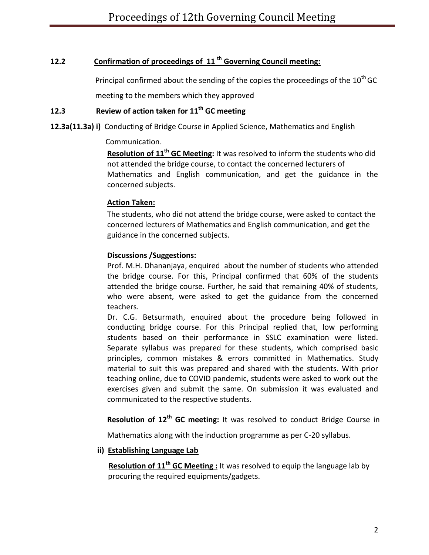## **12.2 Confirmation of proceedings of 11 th Governing Council meeting:**

Principal confirmed about the sending of the copies the proceedings of the  $10^{th}$  GC

meeting to the members which they approved

## **12.3 Review of action taken for 11 th GC meeting**

**12.3a(11.3a) i)** Conducting of Bridge Course in Applied Science, Mathematics and English

Communication.

**Resolution of 11 th GC Meeting:** It was resolved to inform the students who did not attended the bridge course, to contact the concerned lecturers of Mathematics and English communication, and get the guidance in the concerned subjects.

## **Action Taken:**

The students, who did not attend the bridge course, were asked to contact the concerned lecturers of Mathematics and English communication, and get the guidance in the concerned subjects.

## **Discussions /Suggestions:**

Prof. M.H. Dhananjaya, enquired about the number of students who attended the bridge course. For this, Principal confirmed that 60% of the students attended the bridge course. Further, he said that remaining 40% of students, who were absent, were asked to get the guidance from the concerned teachers.

Dr. C.G. Betsurmath, enquired about the procedure being followed in conducting bridge course. For this Principal replied that, low performing students based on their performance in SSLC examination were listed. Separate syllabus was prepared for these students, which comprised basic principles, common mistakes & errors committed in Mathematics. Study material to suit this was prepared and shared with the students. With prior teaching online, due to COVID pandemic, students were asked to work out the exercises given and submit the same. On submission it was evaluated and communicated to the respective students.

Resolution of 12<sup>th</sup> GC meeting: It was resolved to conduct Bridge Course in

Mathematics along with the induction programme as per C-20 syllabus.

## **ii) Establishing Language Lab**

**Resolution of 11<sup>th</sup> GC Meeting**: It was resolved to equip the language lab by procuring the required equipments/gadgets.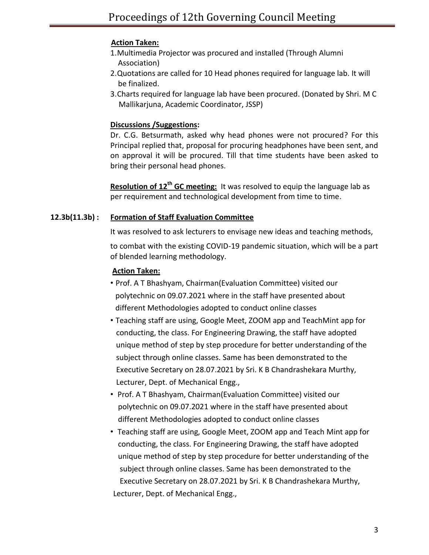## **Action Taken:**

- 1.Multimedia Projector was procured and installed (Through Alumni Association)
- 2.Quotations are called for 10 Head phones required for language lab. It will be finalized.
- 3.Charts required for language lab have been procured. (Donated by Shri. M C Mallikarjuna, Academic Coordinator, JSSP)

## **Discussions /Suggestions:**

Dr. C.G. Betsurmath, asked why head phones were not procured? For this Principal replied that, proposal for procuring headphones have been sent, and on approval it will be procured. Till that time students have been asked to bring their personal head phones.

**Resolution of 12<sup>th</sup> GC meeting:** It was resolved to equip the language lab as per requirement and technological development from time to time.

## **12.3b(11.3b) : Formation of Staff Evaluation Committee**

It was resolved to ask lecturers to envisage new ideas and teaching methods,

to combat with the existing COVID-19 pandemic situation, which will be a part of blended learning methodology.

## **Action Taken:**

- Prof. A T Bhashyam, Chairman(Evaluation Committee) visited our polytechnic on 09.07.2021 where in the staff have presented about different Methodologies adopted to conduct online classes
- Teaching staff are using, Google Meet, ZOOM app and TeachMint app for conducting, the class. For Engineering Drawing, the staff have adopted unique method of step by step procedure for better understanding of the subject through online classes. Same has been demonstrated to the Executive Secretary on 28.07.2021 by Sri. K B Chandrashekara Murthy, Lecturer, Dept. of Mechanical Engg.,
- Prof. A T Bhashyam, Chairman(Evaluation Committee) visited our polytechnic on 09.07.2021 where in the staff have presented about different Methodologies adopted to conduct online classes
- Teaching staff are using, Google Meet, ZOOM app and Teach Mint app for conducting, the class. For Engineering Drawing, the staff have adopted unique method of step by step procedure for better understanding of the subject through online classes. Same has been demonstrated to the Executive Secretary on 28.07.2021 by Sri. K B Chandrashekara Murthy, Lecturer, Dept. of Mechanical Engg.,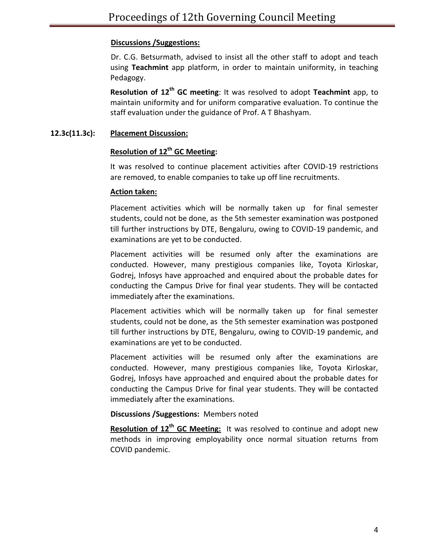## **Discussions /Suggestions:**

Dr. C.G. Betsurmath, advised to insist all the other staff to adopt and teach using **Teachmint** app platform, in order to maintain uniformity, in teaching Pedagogy.

**Resolution of 12 th GC meeting**: It was resolved to adopt **Teachmint** app, to maintain uniformity and for uniform comparative evaluation. To continue the staff evaluation under the guidance of Prof. A T Bhashyam.

## **12.3c(11.3c): Placement Discussion:**

## **Resolution of 12th GC Meeting:**

It was resolved to continue placement activities after COVID-19 restrictions are removed, to enable companies to take up off line recruitments.

## **Action taken:**

Placement activities which will be normally taken up for final semester students, could not be done, as the 5th semester examination was postponed till further instructions by DTE, Bengaluru, owing to COVID-19 pandemic, and examinations are yet to be conducted.

Placement activities will be resumed only after the examinations are conducted. However, many prestigious companies like, Toyota Kirloskar, Godrej, Infosys have approached and enquired about the probable dates for conducting the Campus Drive for final year students. They will be contacted immediately after the examinations.

Placement activities which will be normally taken up for final semester students, could not be done, as the 5th semester examination was postponed till further instructions by DTE, Bengaluru, owing to COVID-19 pandemic, and examinations are yet to be conducted.

Placement activities will be resumed only after the examinations are conducted. However, many prestigious companies like, Toyota Kirloskar, Godrej, Infosys have approached and enquired about the probable dates for conducting the Campus Drive for final year students. They will be contacted immediately after the examinations.

## **Discussions /Suggestions:** Members noted

**Resolution of 12 th GC Meeting:** It was resolved to continue and adopt new methods in improving employability once normal situation returns from COVID pandemic.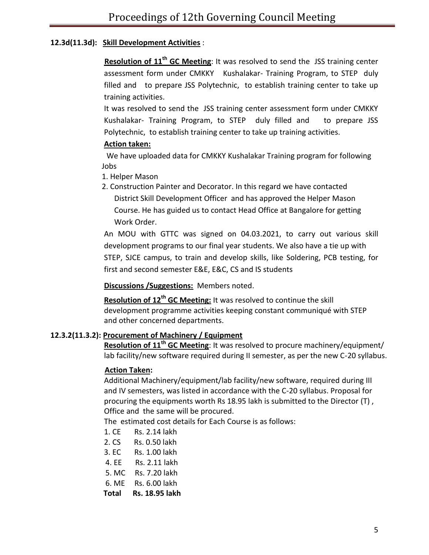## **12.3d(11.3d): Skill Development Activities** :

**Resolution of 11 th GC Meeting**: It was resolved to send the JSS training center assessment form under CMKKY Kushalakar- Training Program, to STEP duly filled and to prepare JSS Polytechnic, to establish training center to take up training activities.

It was resolved to send the JSS training center assessment form under CMKKY Kushalakar- Training Program, to STEP duly filled and to prepare JSS Polytechnic, to establish training center to take up training activities.

## **Action taken:**

 We have uploaded data for CMKKY Kushalakar Training program for following Jobs

- 1. Helper Mason
- 2. Construction Painter and Decorator. In this regard we have contacted District Skill Development Officer and has approved the Helper Mason Course. He has guided us to contact Head Office at Bangalore for getting Work Order.

An MOU with GTTC was signed on 04.03.2021, to carry out various skill development programs to our final year students. We also have a tie up with STEP, SJCE campus, to train and develop skills, like Soldering, PCB testing, for first and second semester E&E, E&C, CS and IS students

**Discussions /Suggestions:** Members noted.

**Resolution of 12<sup>th</sup> GC Meeting:** It was resolved to continue the skill development programme activities keeping constant communiqué with STEP and other concerned departments.

## **12.3.2(11.3.2): Procurement of Machinery / Equipment**

**Resolution of 11 th GC Meeting**: It was resolved to procure machinery/equipment/ lab facility/new software required during II semester, as per the new C-20 syllabus.

## **Action Taken:**

Additional Machinery/equipment/lab facility/new software, required during III and IV semesters, was listed in accordance with the C-20 syllabus. Proposal for procuring the equipments worth Rs 18.95 lakh is submitted to the Director (T) , Office and the same will be procured.

The estimated cost details for Each Course is as follows:

- 1. CE Rs. 2.14 lakh
- 2. CS Rs. 0.50 lakh
- 3. EC Rs. 1.00 lakh
- 4. EE Rs. 2.11 lakh
- 5. MC Rs. 7.20 lakh
- 6. ME Rs. 6.00 lakh
- **Total Rs. 18.95 lakh**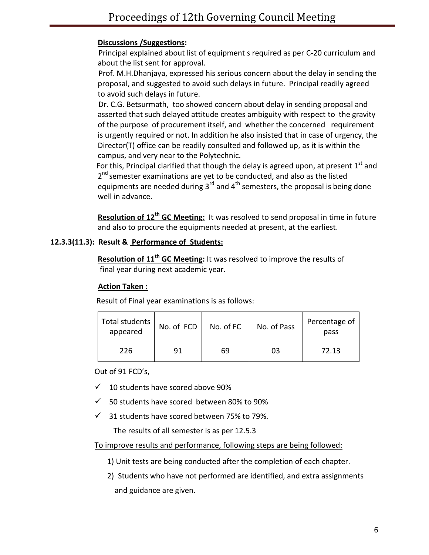## **Discussions /Suggestions:**

 Principal explained about list of equipment s required as per C-20 curriculum and about the list sent for approval.

Prof. M.H.Dhanjaya, expressed his serious concern about the delay in sending the proposal, and suggested to avoid such delays in future. Principal readily agreed to avoid such delays in future.

 Dr. C.G. Betsurmath, too showed concern about delay in sending proposal and asserted that such delayed attitude creates ambiguity with respect to the gravity of the purpose of procurement itself, and whether the concerned requirement is urgently required or not. In addition he also insisted that in case of urgency, the Director(T) office can be readily consulted and followed up, as it is within the campus, and very near to the Polytechnic.

For this, Principal clarified that though the delay is agreed upon, at present  $1^{\text{st}}$  and 2<sup>nd</sup> semester examinations are yet to be conducted, and also as the listed equipments are needed during  $3^{rd}$  and  $4^{th}$  semesters, the proposal is being done well in advance.

**Resolution of 12<sup>th</sup> GC Meeting:** It was resolved to send proposal in time in future and also to procure the equipments needed at present, at the earliest.

### **12.3.3(11.3): Result & Performance of Students:**

**Resolution of 11 th GC Meeting:** It was resolved to improve the results of final year during next academic year.

### **Action Taken :**

| Total students<br>appeared | No. of FCD | No. of FC | No. of Pass | Percentage of<br>pass |
|----------------------------|------------|-----------|-------------|-----------------------|
| 226                        | 91         | 69        | 03          | 72.13                 |

Result of Final year examinations is as follows:

Out of 91 FCD's,

- $\checkmark$  10 students have scored above 90%
- $\checkmark$  50 students have scored between 80% to 90%
- $\checkmark$  31 students have scored between 75% to 79%.

The results of all semester is as per 12.5.3

To improve results and performance, following steps are being followed:

- 1) Unit tests are being conducted after the completion of each chapter.
- 2) Students who have not performed are identified, and extra assignments and guidance are given.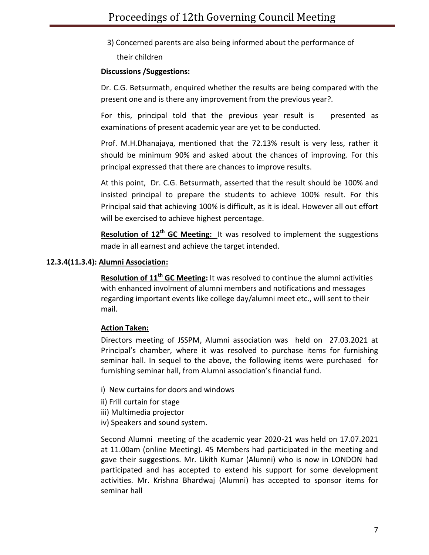3) Concerned parents are also being informed about the performance of their children

## **Discussions /Suggestions:**

Dr. C.G. Betsurmath, enquired whether the results are being compared with the present one and is there any improvement from the previous year?.

For this, principal told that the previous year result is presented as examinations of present academic year are yet to be conducted.

Prof. M.H.Dhanajaya, mentioned that the 72.13% result is very less, rather it should be minimum 90% and asked about the chances of improving. For this principal expressed that there are chances to improve results.

At this point, Dr. C.G. Betsurmath, asserted that the result should be 100% and insisted principal to prepare the students to achieve 100% result. For this Principal said that achieving 100% is difficult, as it is ideal. However all out effort will be exercised to achieve highest percentage.

**Resolution of 12<sup>th</sup> GC Meeting:** It was resolved to implement the suggestions made in all earnest and achieve the target intended.

## **12.3.4(11.3.4): Alumni Association:**

**Resolution of 11 th GC Meeting:** It was resolved to continue the alumni activities with enhanced involment of alumni members and notifications and messages regarding important events like college day/alumni meet etc., will sent to their mail.

## **Action Taken:**

Directors meeting of JSSPM, Alumni association was held on 27.03.2021 at Principal's chamber, where it was resolved to purchase items for furnishing seminar hall. In sequel to the above, the following items were purchased for furnishing seminar hall, from Alumni association's financial fund.

- i) New curtains for doors and windows
- ii) Frill curtain for stage
- iii) Multimedia projector
- iv) Speakers and sound system.

Second Alumni meeting of the academic year 2020-21 was held on 17.07.2021 at 11.00am (online Meeting). 45 Members had participated in the meeting and gave their suggestions. Mr. Likith Kumar (Alumni) who is now in LONDON had participated and has accepted to extend his support for some development activities. Mr. Krishna Bhardwaj (Alumni) has accepted to sponsor items for seminar hall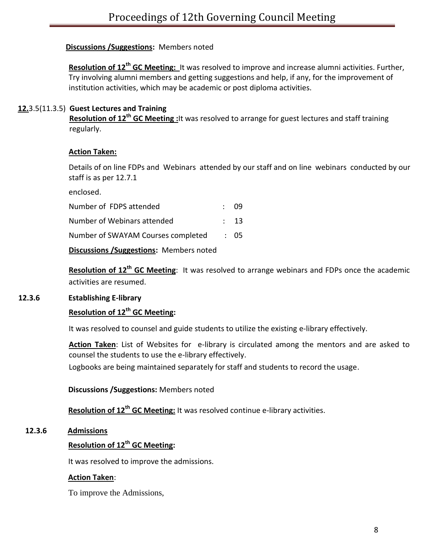## **Discussions /Suggestions:** Members noted

**Resolution of 12<sup>th</sup> GC Meeting:** It was resolved to improve and increase alumni activities. Further, Try involving alumni members and getting suggestions and help, if any, for the improvement of institution activities, which may be academic or post diploma activities.

## **12.**3.5(11.3.5) **Guest Lectures and Training**

 **Resolution of 12 th GC Meeting :**It was resolved to arrange for guest lectures and staff training regularly.

## **Action Taken:**

Details of on line FDPs and Webinars attended by our staff and on line webinars conducted by our staff is as per 12.7.1

enclosed.

| Number of FDPS attended            | $\therefore$ 09 |
|------------------------------------|-----------------|
| Number of Webinars attended        | $\therefore$ 13 |
| Number of SWAYAM Courses completed | $\therefore$ 05 |

**Discussions /Suggestions:** Members noted

**Resolution of 12th GC Meeting**: It was resolved to arrange webinars and FDPs once the academic activities are resumed.

## **12.3.6 Establishing E-library**

## **Resolution of 12th GC Meeting:**

It was resolved to counsel and guide students to utilize the existing e-library effectively.

Action Taken: List of Websites for e-library is circulated among the mentors and are asked to counsel the students to use the e-library effectively.

Logbooks are being maintained separately for staff and students to record the usage.

 **Discussions /Suggestions:** Members noted

 **Resolution of 12th GC Meeting:** It was resolved continue e-library activities.

## **12.3.6 Admissions**

## **Resolution of 12th GC Meeting:**

It was resolved to improve the admissions.

## **Action Taken**:

To improve the Admissions,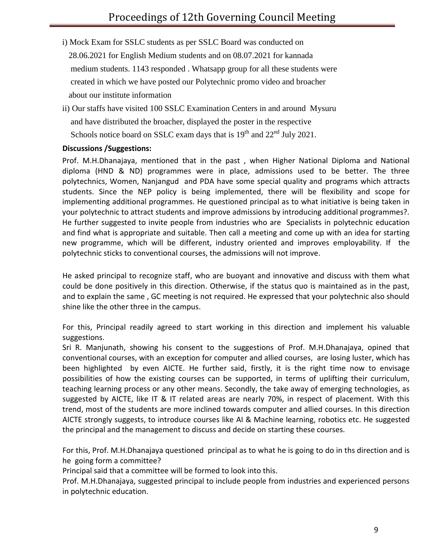- i) Mock Exam for SSLC students as per SSLC Board was conducted on 28.06.2021 for English Medium students and on 08.07.2021 for kannada medium students. 1143 responded . Whatsapp group for all these students were created in which we have posted our Polytechnic promo video and broacher about our institute information
- ii) Our staffs have visited 100 SSLC Examination Centers in and around Mysuru and have distributed the broacher, displayed the poster in the respective Schools notice board on SSLC exam days that is  $19<sup>th</sup>$  and  $22<sup>nd</sup>$  July 2021.

## **Discussions /Suggestions:**

Prof. M.H.Dhanajaya, mentioned that in the past , when Higher National Diploma and National diploma (HND & ND) programmes were in place, admissions used to be better. The three polytechnics, Women, Nanjangud and PDA have some special quality and programs which attracts students. Since the NEP policy is being implemented, there will be flexibility and scope for implementing additional programmes. He questioned principal as to what initiative is being taken in your polytechnic to attract students and improve admissions by introducing additional programmes?. He further suggested to invite people from industries who are Specialists in polytechnic education and find what is appropriate and suitable. Then call a meeting and come up with an idea for starting new programme, which will be different, industry oriented and improves employability. If the polytechnic sticks to conventional courses, the admissions will not improve.

He asked principal to recognize staff, who are buoyant and innovative and discuss with them what could be done positively in this direction. Otherwise, if the status quo is maintained as in the past, and to explain the same , GC meeting is not required. He expressed that your polytechnic also should shine like the other three in the campus.

For this, Principal readily agreed to start working in this direction and implement his valuable suggestions.

Sri R. Manjunath, showing his consent to the suggestions of Prof. M.H.Dhanajaya, opined that conventional courses, with an exception for computer and allied courses, are losing luster, which has been highlighted by even AICTE. He further said, firstly, it is the right time now to envisage possibilities of how the existing courses can be supported, in terms of uplifting their curriculum, teaching learning process or any other means. Secondly, the take away of emerging technologies, as suggested by AICTE, like IT & IT related areas are nearly 70%, in respect of placement. With this trend, most of the students are more inclined towards computer and allied courses. In this direction AICTE strongly suggests, to introduce courses like AI & Machine learning, robotics etc. He suggested the principal and the management to discuss and decide on starting these courses.

For this, Prof. M.H.Dhanajaya questioned principal as to what he is going to do in ths direction and is he going form a committee?

Principal said that a committee will be formed to look into this.

Prof. M.H.Dhanajaya, suggested principal to include people from industries and experienced persons in polytechnic education.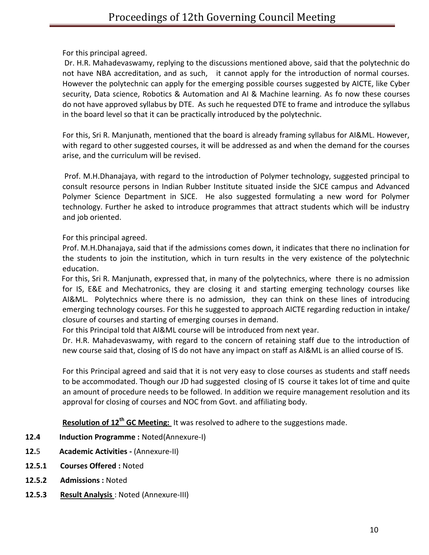For this principal agreed.

Dr. H.R. Mahadevaswamy, replying to the discussions mentioned above, said that the polytechnic do not have NBA accreditation, and as such, it cannot apply for the introduction of normal courses. However the polytechnic can apply for the emerging possible courses suggested by AICTE, like Cyber security, Data science, Robotics & Automation and AI & Machine learning. As fo now these courses do not have approved syllabus by DTE. As such he requested DTE to frame and introduce the syllabus in the board level so that it can be practically introduced by the polytechnic.

For this, Sri R. Manjunath, mentioned that the board is already framing syllabus for AI&ML. However, with regard to other suggested courses, it will be addressed as and when the demand for the courses arise, and the curriculum will be revised.

Prof. M.H.Dhanajaya, with regard to the introduction of Polymer technology, suggested principal to consult resource persons in Indian Rubber Institute situated inside the SJCE campus and Advanced Polymer Science Department in SJCE. He also suggested formulating a new word for Polymer technology. Further he asked to introduce programmes that attract students which will be industry and job oriented.

For this principal agreed.

Prof. M.H.Dhanajaya, said that if the admissions comes down, it indicates that there no inclination for the students to join the institution, which in turn results in the very existence of the polytechnic education.

 For this, Sri R. Manjunath, expressed that, in many of the polytechnics, where there is no admission for IS, E&E and Mechatronics, they are closing it and starting emerging technology courses like AI&ML. Polytechnics where there is no admission, they can think on these lines of introducing emerging technology courses. For this he suggested to approach AICTE regarding reduction in intake/ closure of courses and starting of emerging courses in demand.

For this Principal told that AI&ML course will be introduced from next year.

Dr. H.R. Mahadevaswamy, with regard to the concern of retaining staff due to the introduction of new course said that, closing of IS do not have any impact on staff as AI&ML is an allied course of IS.

For this Principal agreed and said that it is not very easy to close courses as students and staff needs to be accommodated. Though our JD had suggested closing of IS course it takes lot of time and quite an amount of procedure needs to be followed. In addition we require management resolution and its approval for closing of courses and NOC from Govt. and affiliating body.

**Resolution of 12th GC Meeting:** It was resolved to adhere to the suggestions made.

- **12.4 Induction Programme :** Noted(Annexure-I)
- **12.**5 **Academic Activities -** (Annexure-II)
- **12.5.1 Courses Offered :** Noted
- **12.5.2 Admissions :** Noted
- **12.5.3 Result Analysis** : Noted (Annexure-III)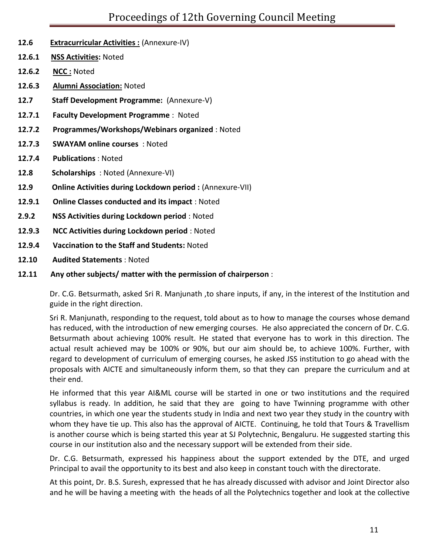- **12.6 Extracurricular Activities :** (Annexure-IV)
- **12.6.1 NSS Activities:** Noted
- **12.6.2 NCC :** Noted
- **12.6.3 Alumni Association:** Noted
- **12.7 Staff Development Programme:** (Annexure-V)
- **12.7.1 Faculty Development Programme** : Noted
- **12.7.2 Programmes/Workshops/Webinars organized** : Noted
- **12.7.3 SWAYAM online courses** : Noted
- **12.7.4 Publications** : Noted
- **12.8 Scholarships** : Noted (Annexure-VI)
- **12.9** Online Activities during Lockdown period : (Annexure-VII)
- **12.9.1 Online Classes conducted and its impact** : Noted
- **2.9.2 NSS Activities during Lockdown period** : Noted
- **12.9.3 NCC Activities during Lockdown period** : Noted
- **12.9.4 Vaccination to the Staff and Students:** Noted
- **12.10 Audited Statements** : Noted
- **12.11 Any other subjects/ matter with the permission of chairperson** :

Dr. C.G. Betsurmath, asked Sri R. Manjunath ,to share inputs, if any, in the interest of the Institution and guide in the right direction.

Sri R. Manjunath, responding to the request, told about as to how to manage the courses whose demand has reduced, with the introduction of new emerging courses. He also appreciated the concern of Dr. C.G. Betsurmath about achieving 100% result. He stated that everyone has to work in this direction. The actual result achieved may be 100% or 90%, but our aim should be, to achieve 100%. Further, with regard to development of curriculum of emerging courses, he asked JSS institution to go ahead with the proposals with AICTE and simultaneously inform them, so that they can prepare the curriculum and at their end.

He informed that this year AI&ML course will be started in one or two institutions and the required syllabus is ready. In addition, he said that they are going to have Twinning programme with other countries, in which one year the students study in India and next two year they study in the country with whom they have tie up. This also has the approval of AICTE. Continuing, he told that Tours & Travellism is another course which is being started this year at SJ Polytechnic, Bengaluru. He suggested starting this course in our institution also and the necessary support will be extended from their side.

Dr. C.G. Betsurmath, expressed his happiness about the support extended by the DTE, and urged Principal to avail the opportunity to its best and also keep in constant touch with the directorate.

At this point, Dr. B.S. Suresh, expressed that he has already discussed with advisor and Joint Director also and he will be having a meeting with the heads of all the Polytechnics together and look at the collective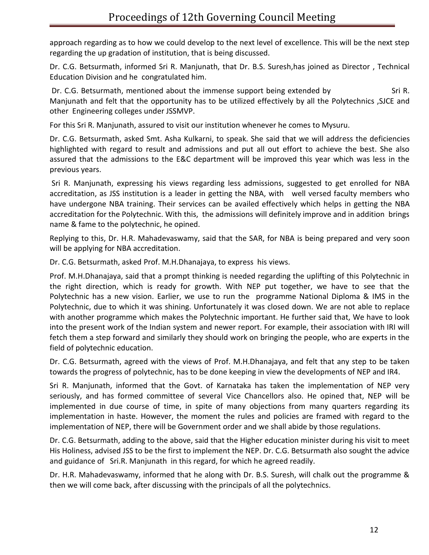approach regarding as to how we could develop to the next level of excellence. This will be the next step regarding the up gradation of institution, that is being discussed.

Dr. C.G. Betsurmath, informed Sri R. Manjunath, that Dr. B.S. Suresh,has joined as Director , Technical Education Division and he congratulated him.

Dr. C.G. Betsurmath, mentioned about the immense support being extended by Sri R. Manjunath and felt that the opportunity has to be utilized effectively by all the Polytechnics ,SJCE and other Engineering colleges under JSSMVP.

For this Sri R. Manjunath, assured to visit our institution whenever he comes to Mysuru.

Dr. C.G. Betsurmath, asked Smt. Asha Kulkarni, to speak. She said that we will address the deficiencies highlighted with regard to result and admissions and put all out effort to achieve the best. She also assured that the admissions to the E&C department will be improved this year which was less in the previous years.

Sri R. Manjunath, expressing his views regarding less admissions, suggested to get enrolled for NBA accreditation, as JSS institution is a leader in getting the NBA, with well versed faculty members who have undergone NBA training. Their services can be availed effectively which helps in getting the NBA accreditation for the Polytechnic. With this, the admissions will definitely improve and in addition brings name & fame to the polytechnic, he opined.

Replying to this, Dr. H.R. Mahadevaswamy, said that the SAR, for NBA is being prepared and very soon will be applying for NBA accreditation.

Dr. C.G. Betsurmath, asked Prof. M.H.Dhanajaya, to express his views.

Prof. M.H.Dhanajaya, said that a prompt thinking is needed regarding the uplifting of this Polytechnic in the right direction, which is ready for growth. With NEP put together, we have to see that the Polytechnic has a new vision. Earlier, we use to run the programme National Diploma & IMS in the Polytechnic, due to which it was shining. Unfortunately it was closed down. We are not able to replace with another programme which makes the Polytechnic important. He further said that, We have to look into the present work of the Indian system and newer report. For example, their association with IRI will fetch them a step forward and similarly they should work on bringing the people, who are experts in the field of polytechnic education.

Dr. C.G. Betsurmath, agreed with the views of Prof. M.H.Dhanajaya, and felt that any step to be taken towards the progress of polytechnic, has to be done keeping in view the developments of NEP and IR4.

Sri R. Manjunath, informed that the Govt. of Karnataka has taken the implementation of NEP very seriously, and has formed committee of several Vice Chancellors also. He opined that, NEP will be implemented in due course of time, in spite of many objections from many quarters regarding its implementation in haste. However, the moment the rules and policies are framed with regard to the implementation of NEP, there will be Government order and we shall abide by those regulations.

Dr. C.G. Betsurmath, adding to the above, said that the Higher education minister during his visit to meet His Holiness, advised JSS to be the first to implement the NEP. Dr. C.G. Betsurmath also sought the advice and guidance of Sri.R. Manjunath in this regard, for which he agreed readily.

Dr. H.R. Mahadevaswamy, informed that he along with Dr. B.S. Suresh, will chalk out the programme & then we will come back, after discussing with the principals of all the polytechnics.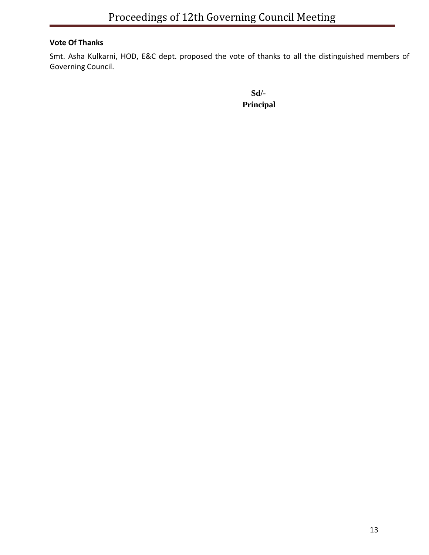## **Vote Of Thanks**

Smt. Asha Kulkarni, HOD, E&C dept. proposed the vote of thanks to all the distinguished members of Governing Council.

 **Sd/- Principal**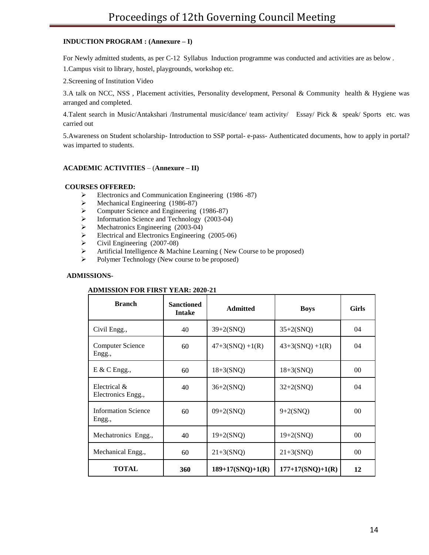### **INDUCTION PROGRAM : (Annexure – I)**

For Newly admitted students, as per C-12 Syllabus Induction programme was conducted and activities are as below .

1.Campus visit to library, hostel, playgrounds, workshop etc.

2.Screening of Institution Video

3.A talk on NCC, NSS , Placement activities, Personality development, Personal & Community health & Hygiene was arranged and completed.

4.Talent search in Music/Antakshari /Instrumental music/dance/ team activity/ Essay/ Pick & speak/ Sports etc. was carried out

5.Awareness on Student scholarship- Introduction to SSP portal- e-pass- Authenticated documents, how to apply in portal? was imparted to students.

### **ACADEMIC ACTIVITIES** – (**Annexure – II)**

#### **COURSES OFFERED:**

- Electronics and Communication Engineering (1986 -87)
- Mechanical Engineering (1986-87)
- Computer Science and Engineering (1986-87)
- $\blacktriangleright$  Information Science and Technology (2003-04)
- $\blacktriangleright$  Mechatronics Engineering (2003-04)
- Electrical and Electronics Engineering (2005-06)
- $\triangleright$  Civil Engineering (2007-08)
- Artificial Intelligence & Machine Learning ( New Course to be proposed)
- Polymer Technology (New course to be proposed)

### **ADMISSIONS-**

#### **ADMISSION FOR FIRST YEAR: 2020-21**

| <b>Branch</b>                        | <b>Sanctioned</b><br><b>Intake</b> | <b>Admitted</b>    | <b>Boys</b>        | <b>Girls</b>    |
|--------------------------------------|------------------------------------|--------------------|--------------------|-----------------|
| Civil Engg.,                         | 40                                 | $39 + 2(SNQ)$      | $35+2(SNQ)$        | 04              |
| Computer Science<br>Engg.,           | 60                                 | $47+3(SNQ) +1(R)$  | $43+3(SNQ) +1(R)$  | 04              |
| $E \& C$ Engg.,                      | 60                                 | $18 + 3(SNQ)$      | $18 + 3(SNQ)$      | 00 <sup>0</sup> |
| Electrical &<br>Electronics Engg.,   | 40                                 | $36 + 2(SNQ)$      | $32 + 2(SNQ)$      | 04              |
| <b>Information Science</b><br>Engg., | 60                                 | $09 + 2(SNQ)$      | $9 + 2(SNQ)$       | 0 <sup>0</sup>  |
| Mechatronics Engg.,                  | 40                                 | $19+2(SNQ)$        | $19+2(SNQ)$        | 00 <sup>0</sup> |
| Mechanical Engg.,                    | 60                                 | $21 + 3(SNQ)$      | $21 + 3(SNQ)$      | 0 <sup>0</sup>  |
| <b>TOTAL</b>                         | 360                                | $189+17(SNQ)+1(R)$ | $177+17(SNQ)+1(R)$ | 12              |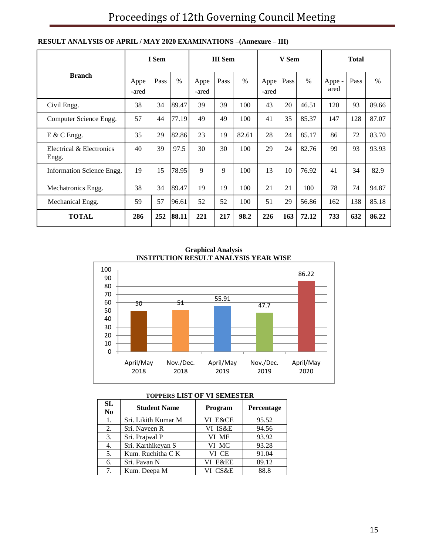|                                   |               | I Sem |       |               | <b>III</b> Sem |       |               | V Sem |       |                | <b>Total</b> |       |
|-----------------------------------|---------------|-------|-------|---------------|----------------|-------|---------------|-------|-------|----------------|--------------|-------|
| <b>Branch</b>                     | Appe<br>-ared | Pass  | $\%$  | Appe<br>-ared | Pass           | $\%$  | Appe<br>-ared | Pass  | $\%$  | Appe -<br>ared | Pass         | $\%$  |
| Civil Engg.                       | 38            | 34    | 89.47 | 39            | 39             | 100   | 43            | 20    | 46.51 | 120            | 93           | 89.66 |
| Computer Science Engg.            | 57            | 44    | 77.19 | 49            | 49             | 100   | 41            | 35    | 85.37 | 147            | 128          | 87.07 |
| $E \& C$ Engg.                    | 35            | 29    | 82.86 | 23            | 19             | 82.61 | 28            | 24    | 85.17 | 86             | 72           | 83.70 |
| Electrical & Electronics<br>Engg. | 40            | 39    | 97.5  | 30            | 30             | 100   | 29            | 24    | 82.76 | 99             | 93           | 93.93 |
| Information Science Engg.         | 19            | 15    | 78.95 | $\mathbf{Q}$  | 9              | 100   | 13            | 10    | 76.92 | 41             | 34           | 82.9  |
| Mechatronics Engg.                | 38            | 34    | 89.47 | 19            | 19             | 100   | 21            | 21    | 100   | 78             | 74           | 94.87 |
| Mechanical Engg.                  | 59            | 57    | 96.61 | 52            | 52             | 100   | 51            | 29    | 56.86 | 162            | 138          | 85.18 |
| <b>TOTAL</b>                      | 286           | 252   | 88.11 | 221           | 217            | 98.2  | 226           | 163   | 72.12 | 733            | 632          | 86.22 |

### **RESULT ANALYSIS OF APRIL / MAY 2020 EXAMINATIONS –(Annexure – III)**

**Graphical Analysis INSTITUTION RESULT ANALYSIS YEAR WISE**



| <b>SL</b><br>N <sub>0</sub> | <b>Student Name</b> | Program | Percentage |
|-----------------------------|---------------------|---------|------------|
| 1.                          | Sri. Likith Kumar M | VI E&CE | 95.52      |
| 2.                          | Sri. Naveen R       | VI IS&E | 94.56      |
| 3.                          | Sri. Prajwal P      | VI ME   | 93.92      |
| 4.                          | Sri. Karthikeyan S  | VI MC   | 93.28      |
| 5.                          | Kum. Ruchitha C K   | VI CE   | 91.04      |
| 6.                          | Sri. Pavan N        | VI E&EE | 89.12      |
| 7.                          | Kum. Deepa M        | VI CS&E | 88.8       |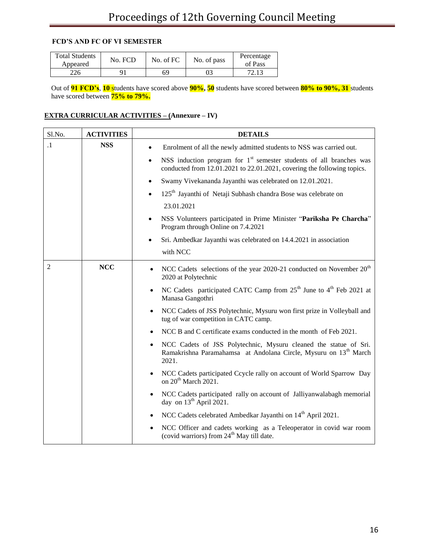### **FCD'S AND FC OF VI SEMESTER**

| <b>Total Students</b><br>Appeared | No. FCD | No. of FC | No. of pass | Percentage<br>of Pass |
|-----------------------------------|---------|-----------|-------------|-----------------------|
| 226                               |         | 69        |             | 72.13                 |

 Out of **91 FCD's**, **10** students have scored above **90%, 50** students have scored between **80% to 90%, 31** students have scored between **75% to 79%.**

## **EXTRA CURRICULAR ACTIVITIES – (Annexure – IV)**

| Sl.No.         | <b>ACTIVITIES</b> | <b>DETAILS</b>                                                                                                                                                         |  |  |
|----------------|-------------------|------------------------------------------------------------------------------------------------------------------------------------------------------------------------|--|--|
| $\cdot$ 1      | <b>NSS</b>        | Enrolment of all the newly admitted students to NSS was carried out.<br>$\bullet$                                                                                      |  |  |
|                |                   | NSS induction program for $1st$ semester students of all branches was<br>conducted from 12.01.2021 to 22.01.2021, covering the following topics.                       |  |  |
|                |                   | Swamy Vivekananda Jayanthi was celebrated on 12.01.2021.<br>$\bullet$                                                                                                  |  |  |
|                |                   | 125 <sup>th</sup> Jayanthi of Netaji Subhash chandra Bose was celebrate on<br>$\bullet$                                                                                |  |  |
|                |                   | 23.01.2021                                                                                                                                                             |  |  |
|                |                   | NSS Volunteers participated in Prime Minister "Pariksha Pe Charcha"<br>Program through Online on 7.4.2021                                                              |  |  |
|                |                   | Sri. Ambedkar Jayanthi was celebrated on 14.4.2021 in association<br>$\bullet$                                                                                         |  |  |
|                |                   | with NCC                                                                                                                                                               |  |  |
| $\overline{2}$ | <b>NCC</b>        | NCC Cadets selections of the year 2020-21 conducted on November 20 <sup>th</sup><br>$\bullet$<br>2020 at Polytechnic                                                   |  |  |
|                |                   | NC Cadets participated CATC Camp from 25 <sup>th</sup> June to 4 <sup>th</sup> Feb 2021 at<br>$\bullet$<br>Manasa Gangothri                                            |  |  |
|                |                   | NCC Cadets of JSS Polytechnic, Mysuru won first prize in Volleyball and<br>$\bullet$<br>tug of war competition in CATC camp.                                           |  |  |
|                |                   | NCC B and C certificate exams conducted in the month of Feb 2021.                                                                                                      |  |  |
|                |                   | NCC Cadets of JSS Polytechnic, Mysuru cleaned the statue of Sri.<br>$\bullet$<br>Ramakrishna Paramahamsa at Andolana Circle, Mysuru on 13 <sup>th</sup> March<br>2021. |  |  |
|                |                   | NCC Cadets participated Ccycle rally on account of World Sparrow Day<br>$\bullet$<br>on 20 <sup>th</sup> March 2021.                                                   |  |  |
|                |                   | NCC Cadets participated rally on account of Jalliyanwalabagh memorial<br>$\bullet$<br>day on $13th$ April 2021.                                                        |  |  |
|                |                   | NCC Cadets celebrated Ambedkar Jayanthi on 14 <sup>th</sup> April 2021.<br>٠                                                                                           |  |  |
|                |                   | NCC Officer and cadets working as a Teleoperator in covid war room<br>$\bullet$<br>(covid warriors) from 24 <sup>th</sup> May till date.                               |  |  |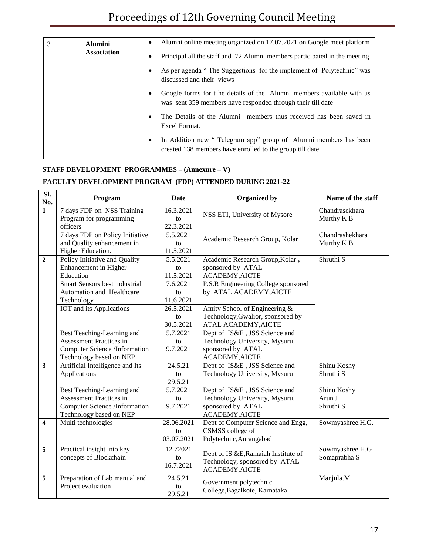| 3 | <b>Alumini</b>     |           | Alumni online meeting organized on 17.07.2021 on Google meet platform                                                                |
|---|--------------------|-----------|--------------------------------------------------------------------------------------------------------------------------------------|
|   | <b>Association</b> |           | Principal all the staff and 72 Alumni members participated in the meeting                                                            |
|   |                    | ٠         | As per agenda "The Suggestions for the implement of Polytechnic" was<br>discussed and their views                                    |
|   |                    | $\bullet$ | Google forms for t he details of the Alumni members available with us<br>was sent 359 members have responded through their till date |
|   |                    | ٠         | The Details of the Alumni members thus received has been saved in<br>Excel Format.                                                   |
|   |                    | ٠         | In Addition new "Telegram app" group of Alumni members has been<br>created 138 members have enrolled to the group till date.         |

## **STAFF DEVELOPMENT PROGRAMMES – (Annexure – V)**

## **FACULTY DEVELOPMENT PROGRAM (FDP) ATTENDED DURING 2021-22**

| Sl.<br>No.              | Program                                                                                                                                                                            | <b>Date</b>                                                                   | <b>Organized by</b>                                                                                                                                                                                           | Name of the staff                       |
|-------------------------|------------------------------------------------------------------------------------------------------------------------------------------------------------------------------------|-------------------------------------------------------------------------------|---------------------------------------------------------------------------------------------------------------------------------------------------------------------------------------------------------------|-----------------------------------------|
| $\overline{1}$          | 7 days FDP on NSS Training<br>Program for programming<br>officers                                                                                                                  | 16.3.2021<br>to<br>22.3.2021                                                  | NSS ETI, University of Mysore                                                                                                                                                                                 | Chandrasekhara<br>Murthy K <sub>B</sub> |
|                         | 7 days FDP on Policy Initiative<br>and Quality enhancement in<br>Higher Education.                                                                                                 | 5.5.2021<br>to<br>11.5.2021                                                   | Academic Research Group, Kolar                                                                                                                                                                                | Chandrashekhara<br>Murthy K B           |
| $\overline{2}$          | Policy Initiative and Quality<br>Enhancement in Higher<br>Education<br><b>Smart Sensors best industrial</b><br>Automation and Healthcare<br>Technology<br>IOT and its Applications | 5.5.2021<br>to<br>11.5.2021<br>7.6.2021<br>to<br>11.6.2021<br>26.5.2021<br>to | Academic Research Group, Kolar,<br>sponsored by ATAL<br>ACADEMY, AICTE<br>P.S.R Engineering College sponsored<br>by ATAL ACADEMY, AICTE<br>Amity School of Engineering &<br>Technology, Gwalior, sponsored by | Shruthi <sub>S</sub>                    |
|                         | Best Teaching-Learning and<br><b>Assessment Practices in</b><br><b>Computer Science /Information</b><br>Technology based on NEP                                                    | 30.5.2021<br>5.7.2021<br>to<br>9.7.2021                                       | ATAL ACADEMY, AICTE<br>Dept of IS&E, JSS Science and<br>Technology University, Mysuru,<br>sponsored by ATAL<br>ACADEMY, AICTE                                                                                 |                                         |
| $\overline{\mathbf{3}}$ | Artificial Intelligence and Its<br>Applications                                                                                                                                    | 24.5.21<br>to<br>29.5.21                                                      | Dept of IS&E, JSS Science and<br>Technology University, Mysuru                                                                                                                                                | Shinu Koshy<br>Shruthi S                |
|                         | Best Teaching-Learning and<br><b>Assessment Practices in</b><br>Computer Science /Information<br>Technology based on NEP                                                           | 5.7.2021<br>to<br>9.7.2021                                                    | Dept of IS&E, JSS Science and<br>Technology University, Mysuru,<br>sponsored by ATAL<br>ACADEMY, AICTE                                                                                                        | Shinu Koshy<br>Arun J<br>Shruthi S      |
| $\overline{\mathbf{4}}$ | Multi technologies                                                                                                                                                                 | 28.06.2021<br>to<br>03.07.2021                                                | Dept of Computer Science and Engg,<br>CSMSS college of<br>Polytechnic, Aurangabad                                                                                                                             | Sowmyashree.H.G.                        |
| $\overline{5}$          | Practical insight into key<br>concepts of Blockchain                                                                                                                               | 12.72021<br>to<br>16.7.2021                                                   | Dept of IS &E, Ramaiah Institute of<br>Technology, sponsored by ATAL<br>ACADEMY, AICTE                                                                                                                        | Sowmyashree.H.G<br>Somaprabha S         |
| 5                       | Preparation of Lab manual and<br>Project evaluation                                                                                                                                | 24.5.21<br>to<br>29.5.21                                                      | Government polytechnic<br>College, Bagalkote, Karnataka                                                                                                                                                       | Manjula.M                               |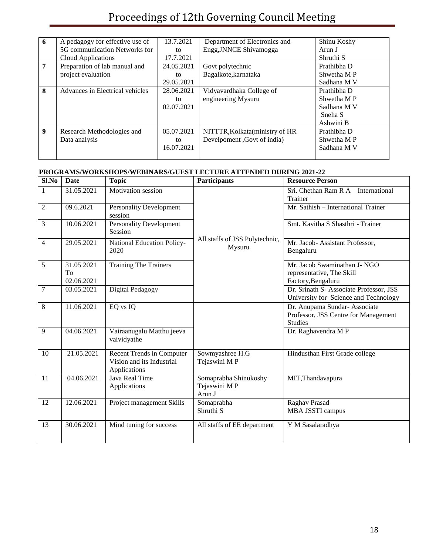# Proceedings of 12th Governing Council Meeting

| 6              | A pedagogy for effective use of | 13.7.2021  | Department of Electronics and   | Shinu Koshy        |
|----------------|---------------------------------|------------|---------------------------------|--------------------|
|                | 5G communication Networks for   | to         | Engg, JNNCE Shivamogga          | Arun J             |
|                | <b>Cloud Applications</b>       | 17.7.2021  |                                 | Shruthi S          |
| $\overline{7}$ | Preparation of lab manual and   | 24.05.2021 | Govt polytechnic                | Prathibha D        |
|                | project evaluation              | to         | Bagalkote, karnataka            | Shwetha MP         |
|                |                                 | 29.05.2021 |                                 | Sadhana M V        |
| 8              | Advances in Electrical vehicles | 28.06.2021 | Vidyavardhaka College of        | Prathibha D        |
|                |                                 | to         | engineering Mysuru              | Shwetha MP         |
|                |                                 | 02.07.2021 |                                 | Sadhana M V        |
|                |                                 |            |                                 | Sneha <sub>S</sub> |
|                |                                 |            |                                 | Ashwini B          |
| 9              | Research Methodologies and      | 05.07.2021 | NITTTR, Kolkata (ministry of HR | Prathibha D        |
|                | Data analysis                   | to         | Develpoment , Govt of india)    | Shwetha M P        |
|                |                                 | 16.07.2021 |                                 | Sadhana M V        |
|                |                                 |            |                                 |                    |

## **PROGRAMS/WORKSHOPS/WEBINARS/GUEST LECTURE ATTENDED DURING 2021-22**

| Sl.No | Date                           | <b>Topic</b>                                                           | <b>Participants</b>                             | <b>Resource Person</b>                                                                  |
|-------|--------------------------------|------------------------------------------------------------------------|-------------------------------------------------|-----------------------------------------------------------------------------------------|
| 1     | 31.05.2021                     | Motivation session                                                     |                                                 | Sri. Chethan Ram R A - International<br>Trainer                                         |
| 2     | 09.6.2021                      | <b>Personality Development</b><br>session                              |                                                 | Mr. Sathish - International Trainer                                                     |
| 3     | 10.06.2021                     | <b>Personality Development</b><br>Session                              |                                                 | Smt. Kavitha S Shasthri - Trainer                                                       |
| 4     | 29.05.2021                     | National Education Policy-<br>2020                                     | All staffs of JSS Polytechnic,<br>Mysuru        | Mr. Jacob- Assistant Professor,<br>Bengaluru                                            |
| 5     | 31.05 2021<br>To<br>02.06.2021 | <b>Training The Trainers</b>                                           |                                                 | Mr. Jacob Swaminathan J- NGO<br>representative, The Skill<br>Factory, Bengaluru         |
| 7     | 03.05.2021                     | Digital Pedagogy                                                       |                                                 | Dr. Srinath S- Associate Professor, JSS<br>University for Science and Technology        |
| 8     | 11.06.2021                     | EQ vs IQ                                                               |                                                 | Dr. Anupama Sundar- Associate<br>Professor, JSS Centre for Management<br><b>Studies</b> |
| 9     | 04.06.2021                     | Vairaanugalu Matthu jeeva<br>vaividyathe                               |                                                 | Dr. Raghavendra MP                                                                      |
| 10    | 21.05.2021                     | Recent Trends in Computer<br>Vision and its Industrial<br>Applications | Sowmyashree H.G<br>Tejaswini MP                 | Hindusthan First Grade college                                                          |
| 11    | 04.06.2021                     | Java Real Time<br>Applications                                         | Somaprabha Shinukoshy<br>Tejaswini MP<br>Arun J | MIT, Thandavapura                                                                       |
| 12    | 12.06.2021                     | Project management Skills                                              | Somaprabha<br>Shruthi S                         | Raghav Prasad<br>MBA JSSTI campus                                                       |
| 13    | 30.06.2021                     | Mind tuning for success                                                | All staffs of EE department                     | Y M Sasalaradhya                                                                        |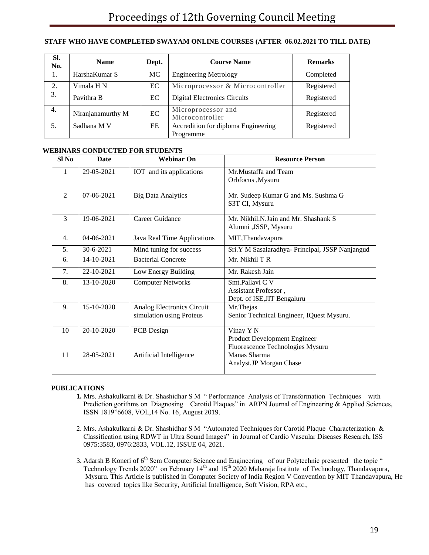### **STAFF WHO HAVE COMPLETED SWAYAM ONLINE COURSES (AFTER 06.02.2021 TO TILL DATE)**

| SI.<br>No. | <b>Name</b>       | Dept. | <b>Course Name</b>                    | <b>Remarks</b> |
|------------|-------------------|-------|---------------------------------------|----------------|
| 1.         | HarshaKumar S     | MC    | <b>Engineering Metrology</b>          | Completed      |
| 2.         | Vimala H N        | EC    | Microprocessor & Microcontroller      | Registered     |
| 3.         | Pavithra B        | EC    | <b>Digital Electronics Circuits</b>   | Registered     |
| 4.         | Niranjanamurthy M | EC    | Microprocessor and<br>Microcontroller | Registered     |
| 5.         | Sadhana M V       | EE    | Accredition for diploma Engineering   | Registered     |
|            |                   |       | Programme                             |                |

### **WEBINARS CONDUCTED FOR STUDENTS**

| Sl No            | <b>Date</b>      | <b>Webinar On</b>                                      | <b>Resource Person</b>                                                        |  |  |
|------------------|------------------|--------------------------------------------------------|-------------------------------------------------------------------------------|--|--|
| 1                | 29-05-2021       | IOT and its applications                               | Mr. Mustaffa and Team<br>Orbfocus ,Mysuru                                     |  |  |
| $\overline{2}$   | 07-06-2021       | <b>Big Data Analytics</b>                              | Mr. Sudeep Kumar G and Ms. Sushma G<br>S3T CI, Mysuru                         |  |  |
| $\overline{3}$   | 19-06-2021       | Career Guidance                                        | Mr. Nikhil.N.Jain and Mr. Shashank S<br>Alumni , JSSP, Mysuru                 |  |  |
| $\overline{4}$ . | $04 - 06 - 2021$ | Java Real Time Applications                            | MIT, Thandavapura                                                             |  |  |
| 5.               | 30-6-2021        | Mind tuning for success                                | Sri.Y M Sasalaradhya- Principal, JSSP Nanjangud                               |  |  |
| 6.               | 14-10-2021       | <b>Bacterial Concrete</b>                              | Mr. Nikhil T R                                                                |  |  |
| 7.               | 22-10-2021       | Low Energy Building                                    | Mr. Rakesh Jain                                                               |  |  |
| 8.               | 13-10-2020       | <b>Computer Networks</b>                               | Smt.Pallavi C V<br>Assistant Professor,<br>Dept. of ISE, JIT Bengaluru        |  |  |
| 9.               | 15-10-2020       | Analog Electronics Circuit<br>simulation using Proteus | Mr.Thejas<br>Senior Technical Engineer, IQuest Mysuru.                        |  |  |
| 10               | 20-10-2020       | PCB Design                                             | Vinay Y N<br>Product Development Engineer<br>Fluorescence Technologies Mysuru |  |  |
| 11               | 28-05-2021       | Artificial Intelligence                                | Manas Sharma<br>Analyst, JP Morgan Chase                                      |  |  |

#### **PUBLICATIONS**

- **1.** Mrs. Ashakulkarni & Dr. Shashidhar S M " Performance Analysis of Transformation Techniques with Prediction gorithms on Diagnosing Carotid Plaques" in ARPN Journal of Engineering & Applied Sciences, ISSN 1819"6608, VOL,14 No. 16, August 2019.
- 2. Mrs. Ashakulkarni & Dr. Shashidhar S M "Automated Techniques for Carotid Plaque Characterization & Classification using RDWT in Ultra Sound Images" in Journal of Cardio Vascular Diseases Research, ISS 0975:3583, 0976:2833, VOL.12, ISSUE 04, 2021.
- 3. Adarsh B Koneri of 6<sup>th</sup> Sem Computer Science and Engineering of our Polytechnic presented the topic " Technology Trends 2020" on February  $14<sup>th</sup>$  and  $15<sup>th</sup>$  2020 Maharaja Institute of Technology, Thandavapura, Mysuru. This Article is published in Computer Society of India Region V Convention by MIT Thandavapura, He has covered topics like Security, Artificial Intelligence, Soft Vision, RPA etc.,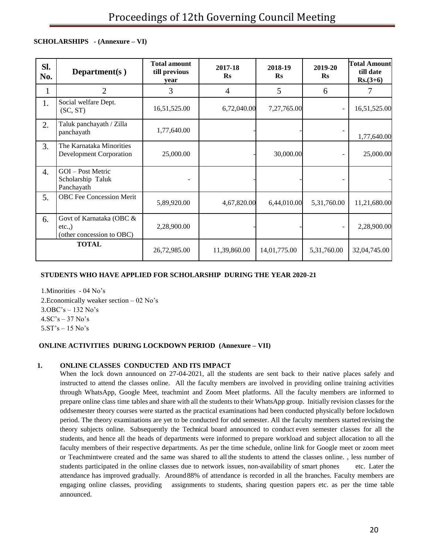### **SCHOLARSHIPS - (Annexure – VI)**

| SI.<br>No. | Department( $s$ )                                                  | <b>Total amount</b><br>till previous<br>vear | 2017-18<br>$\mathbf{R}$ s | 2018-19<br>$\mathbf{R}$ s | 2019-20<br>$\mathbf{R}$ s | <b>Total Amount</b><br>till date<br>$Rs.(3+6)$ |
|------------|--------------------------------------------------------------------|----------------------------------------------|---------------------------|---------------------------|---------------------------|------------------------------------------------|
| 1          | $\overline{2}$                                                     | 3                                            | 4                         | 5                         | 6                         | 7                                              |
| 1.         | Social welfare Dept.<br>(SC, ST)                                   | 16,51,525.00                                 | 6,72,040.00               | 7,27,765.00               | $\overline{\phantom{a}}$  | 16,51,525.00                                   |
| 2.         | Taluk panchayath / Zilla<br>panchayath                             | 1,77,640.00                                  |                           |                           |                           | 1,77,640.00                                    |
| 3.         | The Karnataka Minorities<br><b>Development Corporation</b>         | 25,000.00                                    |                           | 30,000.00                 | $\overline{a}$            | 25,000.00                                      |
| 4.         | GOI - Post Metric<br>Scholarship Taluk<br>Panchayath               |                                              |                           |                           |                           |                                                |
| 5.         | <b>OBC</b> Fee Concession Merit                                    | 5,89,920.00                                  | 4,67,820.00               | 6,44,010.00               | 5,31,760.00               | 11,21,680.00                                   |
| 6.         | Govt of Karnataka (OBC &<br>$etc.,$ )<br>(other concession to OBC) | 2,28,900.00                                  |                           |                           | $\overline{\phantom{a}}$  | 2,28,900.00                                    |
|            | <b>TOTAL</b>                                                       | 26,72,985.00                                 | 11,39,860.00              | 14,01,775.00              | 5,31,760.00               | 32,04,745.00                                   |

### **STUDENTS WHO HAVE APPLIED FOR SCHOLARSHIP DURING THE YEAR 2020-21**

1.Minorities - 04 No's 2.Economically weaker section – 02 No's 3.OBC's – 132 No's  $4.SC's - 37 No's$ 5.ST's – 15 No's

### **ONLINE ACTIVITIES DURING LOCKDOWN PERIOD (Annexure – VII)**

### **1. ONLINE CLASSES CONDUCTED AND ITS IMPACT**

When the lock down announced on 27-04-2021, all the students are sent back to their native places safely and instructed to attend the classes online. All the faculty members are involved in providing online training activities through WhatsApp, Google Meet, teachmint and Zoom Meet platforms. All the faculty members are informed to prepare online class time tables and share with all the students to their WhatsApp group. Initially revision classes for the oddsemester theory courses were started as the practical examinations had been conducted physically before lockdown period. The theory examinations are yet to be conducted for odd semester. All the faculty members started revising the theory subjects online. Subsequently the Technical board announced to conduct even semester classes for all the students, and hence all the heads of departments were informed to prepare workload and subject allocation to all the faculty members of their respective departments. As per the time schedule, online link for Google meet or zoom meet or Teachmintwere created and the same was shared to all the students to attend the classes online. , less number of students participated in the online classes due to network issues, non-availability of smart phones etc. Later the attendance has improved gradually. Around88% of attendance is recorded in all the branches. Faculty members are engaging online classes, providing assignments to students, sharing question papers etc. as per the time table announced.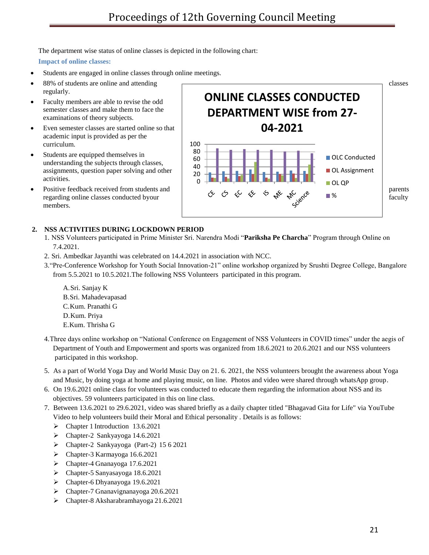The department wise status of online classes is depicted in the following chart:

**Impact of online classes:**

- Students are engaged in online classes through online meetings.
- regularly.
- Faculty members are able to revise the odd semester classes and make them to face the examinations of theory subjects.
- Even semester classes are started online so that academic input is provided as per the curriculum.
- Students are equipped themselves in understanding the subjects through classes, assignments, question paper solving and other activities.
- members.



### **2. NSS ACTIVITIES DURING LOCKDOWN PERIOD**

- 1. NSS Volunteers participated in Prime Minister Sri. Narendra Modi "**Pariksha Pe Charcha**" Program through Online on 7.4.2021.
- 2. Sri. Ambedkar Jayanthi was celebrated on 14.4.2021 in association with NCC.
- 3."Pre-Conference Workshop for Youth Social Innovation-21" online workshop organized by Srushti Degree College, Bangalore from 5.5.2021 to 10.5.2021.The following NSS Volunteers participated in this program.
	- A.Sri. Sanjay K B.Sri. Mahadevapasad C.Kum. Pranathi G D.Kum. Priya E.Kum. Thrisha G
- 4.Three days online workshop on "National Conference on Engagement of NSS Volunteers in COVID times" under the aegis of Department of Youth and Empowerment and sports was organized from 18.6.2021 to 20.6.2021 and our NSS volunteers participated in this workshop.
- 5. As a part of World Yoga Day and World Music Day on 21. 6. 2021, the NSS volunteers brought the awareness about Yoga and Music, by doing yoga at home and playing music, on line. Photos and video were shared through whatsApp group.
- 6. On 19.6.2021 online class for volunteers was conducted to educate them regarding the information about NSS and its objectives. 59 volunteers participated in this on line class.
- 7. Between 13.6.2021 to 29.6.2021, video was shared briefly as a daily chapter titled "Bhagavad Gita for Life" via YouTube Video to help volunteers build their Moral and Ethical personality . Details is as follows:
	- Chapter 1 Introduction 13.6.2021
	- Chapter-2 Sankyayoga 14.6.2021
	- Chapter-2 Sankyayoga (Part-2) 15 6 2021
	- Chapter-3 Karmayoga 16.6.2021
	- Chapter-4 Gnanayoga 17.6.2021
	- Chapter-5 Sanyasayoga 18.6.2021
	- Chapter-6 Dhyanayoga 19.6.2021
	- Chapter-7 Gnanavignanayoga 20.6.2021
	- Chapter-8 Aksharabramhayoga 21.6.2021